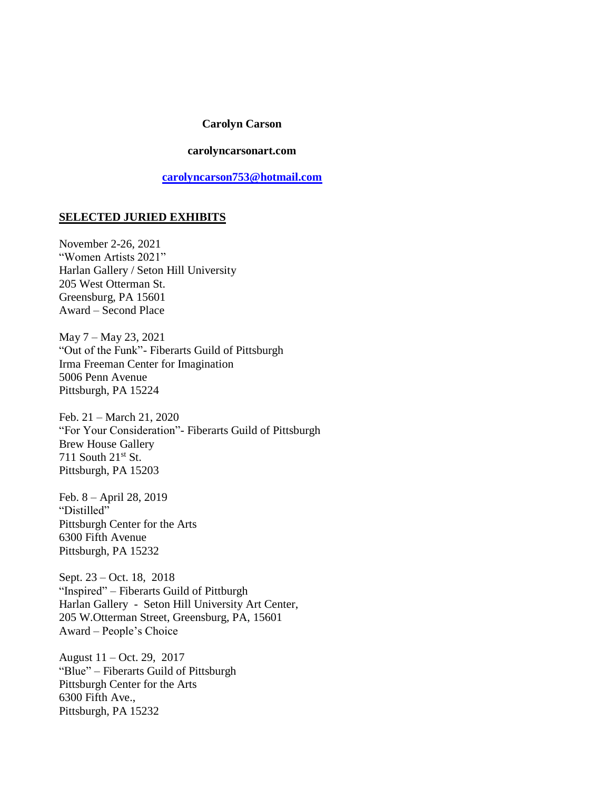#### **Carolyn Carson**

### **carolyncarsonart.com**

**[carolyncarson753@hotmail.com](mailto:carolyncarson753@hotmail.com)**

# **SELECTED JURIED EXHIBITS**

November 2-26, 2021 "Women Artists 2021" Harlan Gallery / Seton Hill University 205 West Otterman St. Greensburg, PA 15601 Award – Second Place

May 7 – May 23, 2021 "Out of the Funk"- Fiberarts Guild of Pittsburgh Irma Freeman Center for Imagination 5006 Penn Avenue Pittsburgh, PA 15224

Feb. 21 – March 21, 2020 "For Your Consideration"- Fiberarts Guild of Pittsburgh Brew House Gallery 711 South  $21^{st}$  St. Pittsburgh, PA 15203

Feb. 8 – April 28, 2019 "Distilled" Pittsburgh Center for the Arts 6300 Fifth Avenue Pittsburgh, PA 15232

Sept. 23 – Oct. 18, 2018 "Inspired" – Fiberarts Guild of Pittburgh Harlan Gallery - Seton Hill University Art Center, 205 W.Otterman Street, Greensburg, PA, 15601 Award – People's Choice

August 11 – Oct. 29, 2017 "Blue" – Fiberarts Guild of Pittsburgh Pittsburgh Center for the Arts 6300 Fifth Ave., Pittsburgh, PA 15232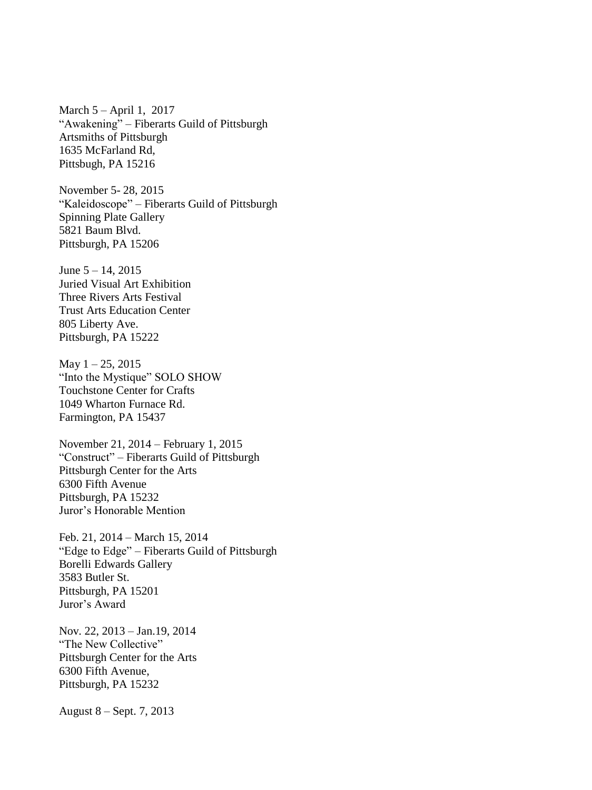March 5 – April 1, 2017 "Awakening" – Fiberarts Guild of Pittsburgh Artsmiths of Pittsburgh 1635 McFarland Rd, Pittsbugh, PA 15216

November 5- 28, 2015 "Kaleidoscope" – Fiberarts Guild of Pittsburgh Spinning Plate Gallery 5821 Baum Blvd. Pittsburgh, PA 15206

June 5 – 14, 2015 Juried Visual Art Exhibition Three Rivers Arts Festival Trust Arts Education Center 805 Liberty Ave. Pittsburgh, PA 15222

May  $1 - 25$ , 2015 "Into the Mystique" SOLO SHOW Touchstone Center for Crafts 1049 Wharton Furnace Rd. Farmington, PA 15437

November 21, 2014 – February 1, 2015 "Construct" – Fiberarts Guild of Pittsburgh Pittsburgh Center for the Arts 6300 Fifth Avenue Pittsburgh, PA 15232 Juror's Honorable Mention

Feb. 21, 2014 – March 15, 2014 "Edge to Edge" – Fiberarts Guild of Pittsburgh Borelli Edwards Gallery 3583 Butler St. Pittsburgh, PA 15201 Juror's Award

Nov. 22, 2013 – Jan.19, 2014 "The New Collective" Pittsburgh Center for the Arts 6300 Fifth Avenue, Pittsburgh, PA 15232

August 8 – Sept. 7, 2013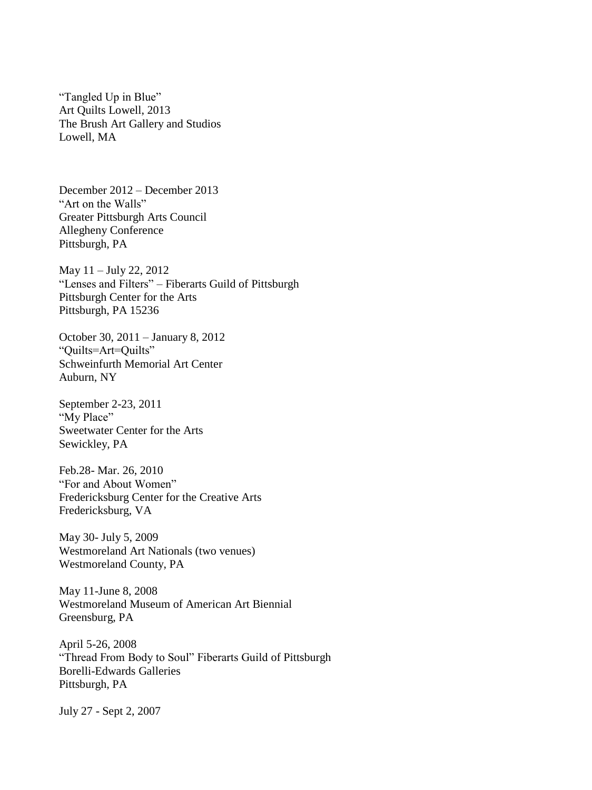"Tangled Up in Blue" Art Quilts Lowell, 2013 The Brush Art Gallery and Studios Lowell, MA

December 2012 – December 2013 "Art on the Walls" Greater Pittsburgh Arts Council Allegheny Conference Pittsburgh, PA

May 11 – July 22, 2012 "Lenses and Filters" – Fiberarts Guild of Pittsburgh Pittsburgh Center for the Arts Pittsburgh, PA 15236

October 30, 2011 – January 8, 2012 "Quilts=Art=Quilts" Schweinfurth Memorial Art Center Auburn, NY

September 2-23, 2011 "My Place" Sweetwater Center for the Arts Sewickley, PA

Feb.28- Mar. 26, 2010 "For and About Women" Fredericksburg Center for the Creative Arts Fredericksburg, VA

May 30- July 5, 2009 Westmoreland Art Nationals (two venues) Westmoreland County, PA

May 11-June 8, 2008 Westmoreland Museum of American Art Biennial Greensburg, PA

April 5-26, 2008 "Thread From Body to Soul" Fiberarts Guild of Pittsburgh Borelli-Edwards Galleries Pittsburgh, PA

July 27 - Sept 2, 2007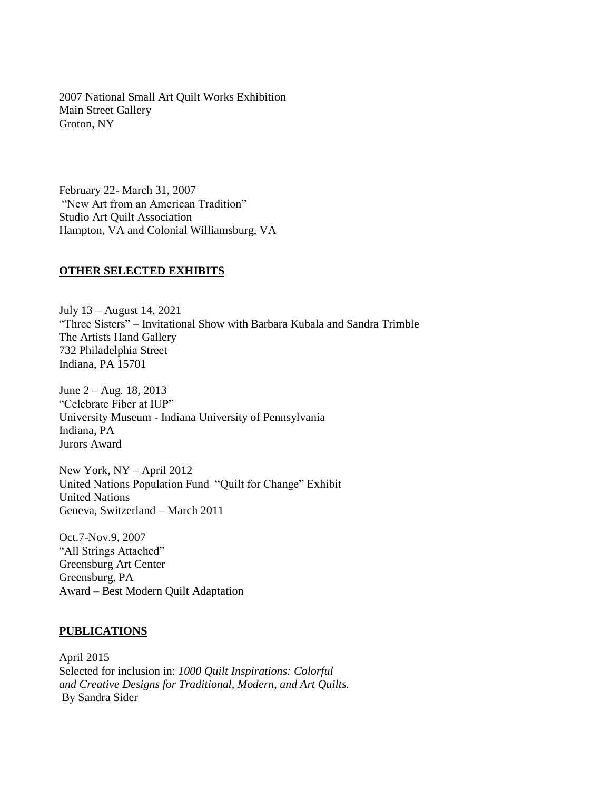2007 National Small Art Quilt Works Exhibition Main Street Gallery Groton, NY

February 22- March 31, 2007 "New Art from an American Tradition" Studio Art Quilt Association Hampton, VA and Colonial Williamsburg, VA

# **OTHER SELECTED EXHIBITS**

July 13 – August 14, 2021 "Three Sisters" – Invitational Show with Barbara Kubala and Sandra Trimble The Artists Hand Gallery 732 Philadelphia Street Indiana, PA 15701

June 2 – Aug. 18, 2013 "Celebrate Fiber at IUP" University Museum - Indiana University of Pennsylvania Indiana, PA Jurors Award

New York, NY – April 2012 United Nations Population Fund "Quilt for Change" Exhibit United Nations Geneva, Switzerland – March 2011

Oct.7-Nov.9, 2007 "All Strings Attached" Greensburg Art Center Greensburg, PA Award – Best Modern Quilt Adaptation

### **PUBLICATIONS**

April 2015 Selected for inclusion in: *1000 Quilt Inspirations: Colorful and Creative Designs for Traditional, Modern, and Art Quilts.* By Sandra Sider